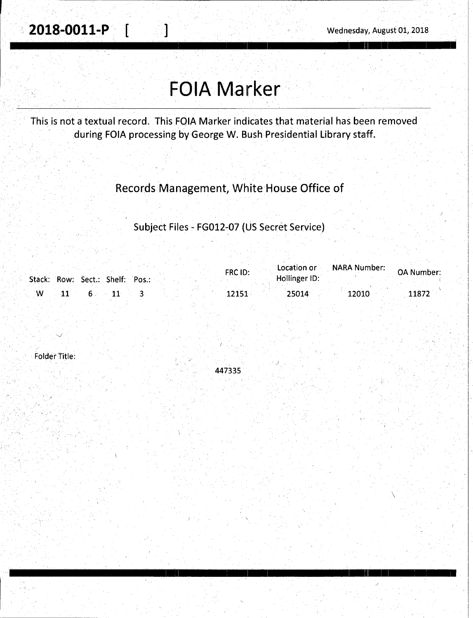$\overline{\phantom{0}}$ 

# **FOIA Marker**

This is not a textual record. This FQIA Marker indicates that material has been removed during FOIA processing by George W. Bush Presidential Library staff.

## Records Management, White House Office of

## Subject Files - FG012-07 (US Secret Service)

|              |  |                                 |  | FRC ID: | Location or   | NARA Number: | <b>OA Number:</b> |
|--------------|--|---------------------------------|--|---------|---------------|--------------|-------------------|
|              |  | Stack: Row: Sect.: Shelf: Pos.: |  |         | Hollinger ID: |              |                   |
| $\mathbf{W}$ |  |                                 |  | 12151   | 25014         | 12010        | 11872             |

Folder Title:



I I ' I I I : 11 I I '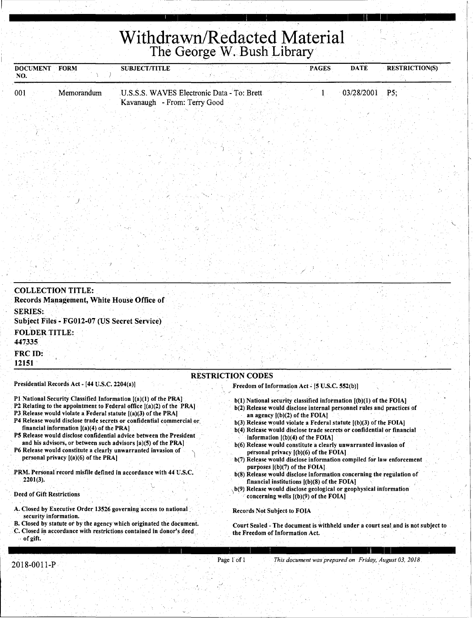## **Withdrawn/Redacted Material**  The George W. Bush Library

| <b>DOCUMENT FORM</b><br>NO.    |                                                                                       | <b>SUBJECT/TITLE</b>                                                                                                                                                                                                                                                                                                                                                                                                                                                                                                                                                |                                                                                                                                                                                                                                                                                                                                                                                                                                                                                                                                                                                                                                                                                                                                                                                                        | <b>PAGES</b> | <b>DATE</b> | <b>RESTRICTION(S)</b> |
|--------------------------------|---------------------------------------------------------------------------------------|---------------------------------------------------------------------------------------------------------------------------------------------------------------------------------------------------------------------------------------------------------------------------------------------------------------------------------------------------------------------------------------------------------------------------------------------------------------------------------------------------------------------------------------------------------------------|--------------------------------------------------------------------------------------------------------------------------------------------------------------------------------------------------------------------------------------------------------------------------------------------------------------------------------------------------------------------------------------------------------------------------------------------------------------------------------------------------------------------------------------------------------------------------------------------------------------------------------------------------------------------------------------------------------------------------------------------------------------------------------------------------------|--------------|-------------|-----------------------|
| 001                            | Memorandum                                                                            | U.S.S.S. WAVES Electronic Data - To: Brett<br>Kavanaugh - From: Terry Good                                                                                                                                                                                                                                                                                                                                                                                                                                                                                          |                                                                                                                                                                                                                                                                                                                                                                                                                                                                                                                                                                                                                                                                                                                                                                                                        |              | 03/28/2001  | P5;                   |
|                                |                                                                                       |                                                                                                                                                                                                                                                                                                                                                                                                                                                                                                                                                                     |                                                                                                                                                                                                                                                                                                                                                                                                                                                                                                                                                                                                                                                                                                                                                                                                        |              |             |                       |
|                                |                                                                                       |                                                                                                                                                                                                                                                                                                                                                                                                                                                                                                                                                                     |                                                                                                                                                                                                                                                                                                                                                                                                                                                                                                                                                                                                                                                                                                                                                                                                        |              |             |                       |
|                                |                                                                                       |                                                                                                                                                                                                                                                                                                                                                                                                                                                                                                                                                                     |                                                                                                                                                                                                                                                                                                                                                                                                                                                                                                                                                                                                                                                                                                                                                                                                        |              |             |                       |
|                                |                                                                                       |                                                                                                                                                                                                                                                                                                                                                                                                                                                                                                                                                                     |                                                                                                                                                                                                                                                                                                                                                                                                                                                                                                                                                                                                                                                                                                                                                                                                        |              |             |                       |
|                                |                                                                                       |                                                                                                                                                                                                                                                                                                                                                                                                                                                                                                                                                                     |                                                                                                                                                                                                                                                                                                                                                                                                                                                                                                                                                                                                                                                                                                                                                                                                        |              |             |                       |
|                                |                                                                                       |                                                                                                                                                                                                                                                                                                                                                                                                                                                                                                                                                                     |                                                                                                                                                                                                                                                                                                                                                                                                                                                                                                                                                                                                                                                                                                                                                                                                        |              |             |                       |
|                                | <b>COLLECTION TITLE:</b><br>Records Management, White House Office of                 |                                                                                                                                                                                                                                                                                                                                                                                                                                                                                                                                                                     |                                                                                                                                                                                                                                                                                                                                                                                                                                                                                                                                                                                                                                                                                                                                                                                                        |              |             |                       |
| <b>SERIES:</b>                 | Subject Files - FG012-07 (US Secret Service)                                          |                                                                                                                                                                                                                                                                                                                                                                                                                                                                                                                                                                     |                                                                                                                                                                                                                                                                                                                                                                                                                                                                                                                                                                                                                                                                                                                                                                                                        |              |             |                       |
| <b>FOLDER TITLE:</b><br>447335 |                                                                                       |                                                                                                                                                                                                                                                                                                                                                                                                                                                                                                                                                                     |                                                                                                                                                                                                                                                                                                                                                                                                                                                                                                                                                                                                                                                                                                                                                                                                        |              |             |                       |
| <b>FRC ID:</b><br>12151        |                                                                                       |                                                                                                                                                                                                                                                                                                                                                                                                                                                                                                                                                                     |                                                                                                                                                                                                                                                                                                                                                                                                                                                                                                                                                                                                                                                                                                                                                                                                        |              |             |                       |
|                                | Presidential Records Act - [44 U.S.C. 2204(a)]                                        |                                                                                                                                                                                                                                                                                                                                                                                                                                                                                                                                                                     | <b>RESTRICTION CODES</b><br>Freedom of Information Act - [5 U.S.C. 552(b)]                                                                                                                                                                                                                                                                                                                                                                                                                                                                                                                                                                                                                                                                                                                             |              |             |                       |
| $2201(3)$ .                    | financial information $[(a)(4)$ of the PRA]<br>personal privacy $[(a)(6)$ of the PRA] | P1 National Security Classified Information [(a)(1) of the PRA]<br>P2 Relating to the appointment to Federal office $[(a)(2)$ of the PRA<br>P3 Release would violate a Federal statute $[(a)(3)$ of the PRA]<br>P4 Release would disclose trade secrets or confidential commercial or<br>P5 Release would disclose confidential advice between the President<br>and his advisors, or between such advisors [a](5) of the PRA]<br>P6 Release would constitute a clearly unwarranted invasion of<br>PRM. Personal record misfile defined in accordance with 44 U.S.C. | b(1) National security classified information [(b)(1) of the FOIA]<br>b(2) Release would disclose internal personnel rules and practices of<br>an agency $[(b)(2)$ of the FOIA.<br>$b(3)$ Release would violate a Federal statute $(6)(3)$ of the FOIA]<br>b(4) Release would disclose trade secrets or confidential or financial<br>information $($ b $)($ 4 $)$ of the FOIA $]$<br>b(6) Release would constitute a clearly unwarranted invasion of<br>personal privacy [(b)(6) of the FOIA]<br>b(7) Release would disclose information compiled for law enforcement<br>purposes $[(b)(7)$ of the FOIA.<br>b(8) Release would disclose information concerning the regulation of<br>financial institutions $[(b)(8)$ of the FOIA]<br>b(9) Release would disclose geological or geophysical information |              |             |                       |

Deed of Gift Restrictions

- A. Closed by Executive Order 13526 governing access to national . security information.
- 8. Closed by statute or by the agency which originated the document. C. Closed in accordance with restrictions contained in donor's deed · of gift.

### , I I ! I I ,

·

Court Sealed - The document is Withheld under a court seal and is not subject to

concerning wells  $[(b)(9)$  of the FOIA]

Records Not Subject to FOIA

the Freedom of Information Act.